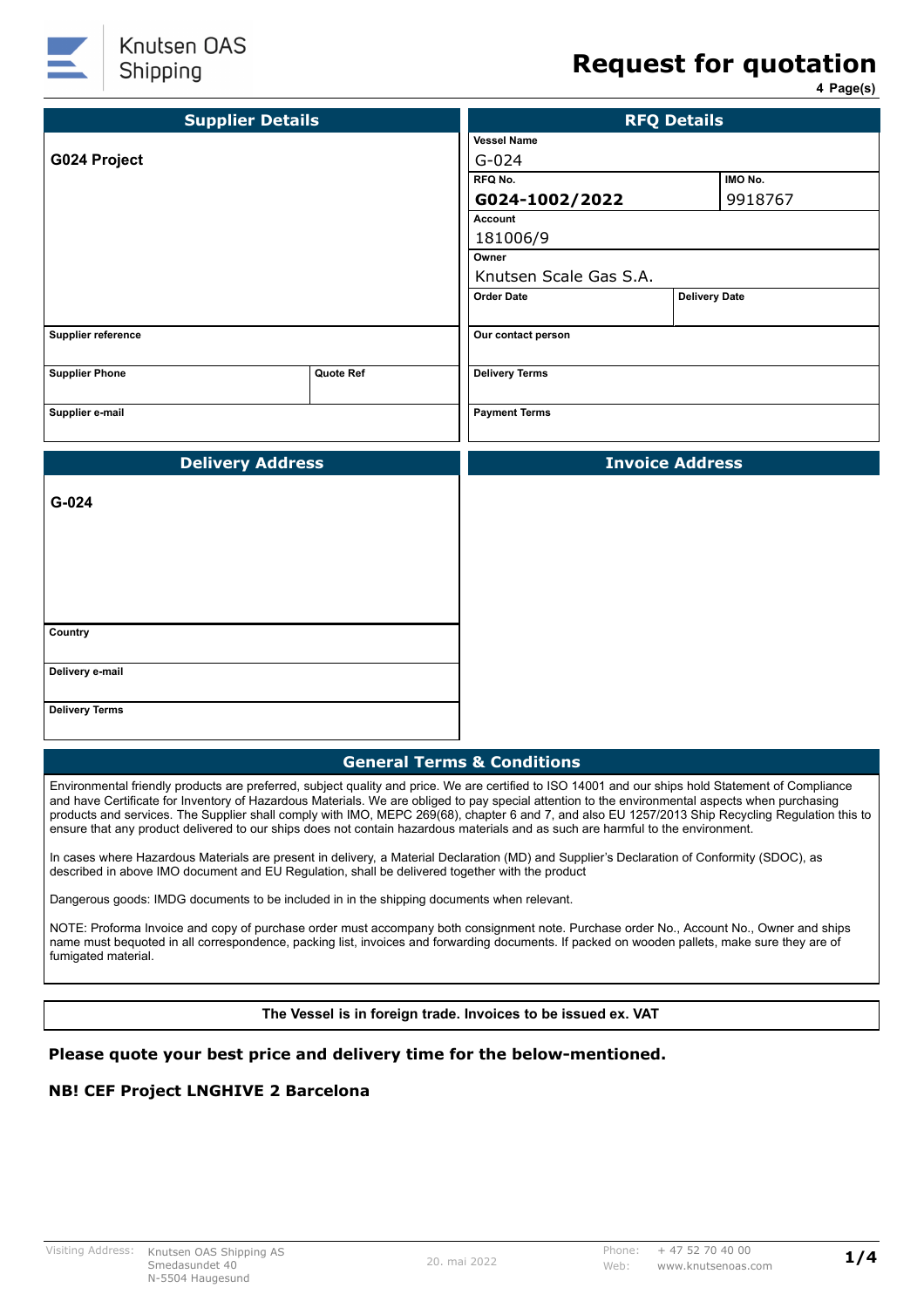

# **Request for quotation**

**4 Page(s)**

| <b>Supplier Details</b>                                     | <b>RFQ Details</b>     |                        |                      |         |  |
|-------------------------------------------------------------|------------------------|------------------------|----------------------|---------|--|
|                                                             |                        | <b>Vessel Name</b>     |                      |         |  |
| G024 Project                                                |                        | $G - 024$              |                      |         |  |
|                                                             |                        | RFQ No.                |                      | IMO No. |  |
|                                                             |                        | G024-1002/2022         |                      | 9918767 |  |
|                                                             |                        | <b>Account</b>         |                      |         |  |
|                                                             |                        | 181006/9               |                      |         |  |
|                                                             |                        | Owner                  |                      |         |  |
|                                                             | Knutsen Scale Gas S.A. |                        |                      |         |  |
|                                                             |                        | <b>Order Date</b>      | <b>Delivery Date</b> |         |  |
|                                                             |                        |                        |                      |         |  |
| Supplier reference                                          |                        | Our contact person     |                      |         |  |
| <b>Delivery Terms</b><br><b>Supplier Phone</b><br>Quote Ref |                        |                        |                      |         |  |
| Supplier e-mail                                             | <b>Payment Terms</b>   |                        |                      |         |  |
|                                                             |                        |                        |                      |         |  |
|                                                             |                        |                        |                      |         |  |
| <b>Delivery Address</b>                                     |                        | <b>Invoice Address</b> |                      |         |  |
| G-024                                                       |                        |                        |                      |         |  |
| Country                                                     |                        |                        |                      |         |  |
| Delivery e-mail                                             |                        |                        |                      |         |  |
| <b>Delivery Terms</b>                                       |                        |                        |                      |         |  |

Environmental friendly products are preferred, subject quality and price. We are certified to ISO 14001 and our ships hold Statement of Compliance and have Certificate for Inventory of Hazardous Materials. We are obliged to pay special attention to the environmental aspects when purchasing products and services. The Supplier shall comply with IMO, MEPC 269(68), chapter 6 and 7, and also EU 1257/2013 Ship Recycling Regulation this to ensure that any product delivered to our ships does not contain hazardous materials and as such are harmful to the environment.

In cases where Hazardous Materials are present in delivery, a Material Declaration (MD) and Supplier's Declaration of Conformity (SDOC), as described in above IMO document and EU Regulation, shall be delivered together with the product

Dangerous goods: IMDG documents to be included in in the shipping documents when relevant.

NOTE: Proforma Invoice and copy of purchase order must accompany both consignment note. Purchase order No., Account No., Owner and ships name must bequoted in all correspondence, packing list, invoices and forwarding documents. If packed on wooden pallets, make sure they are of fumigated material.

**The Vessel is in foreign trade. Invoices to be issued ex. VAT**

#### **Please quote your best price and delivery time for the below-mentioned.**

#### **NB! CEF Project LNGHIVE 2 Barcelona**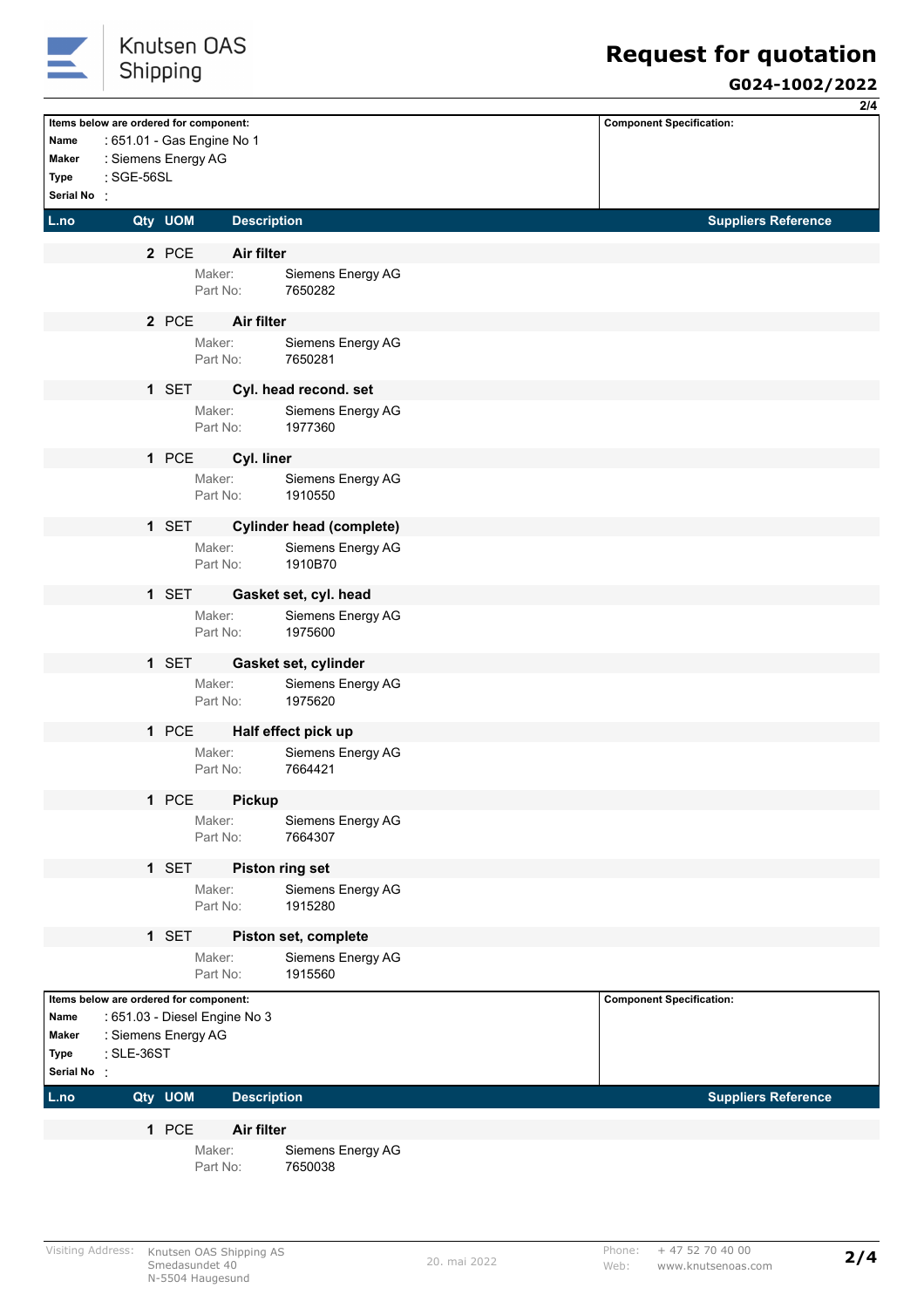

# **Request for quotation**

#### **G024-1002/2022**

|               |                                        |         |                               |                                 |                                 | 2/4 |
|---------------|----------------------------------------|---------|-------------------------------|---------------------------------|---------------------------------|-----|
|               | Items below are ordered for component: |         |                               |                                 | <b>Component Specification:</b> |     |
| Name          |                                        |         | : 651.01 - Gas Engine No 1    |                                 |                                 |     |
| Maker         | : Siemens Energy AG                    |         |                               |                                 |                                 |     |
| Type          | : SGE-56SL                             |         |                               |                                 |                                 |     |
| Serial No:    |                                        |         |                               |                                 |                                 |     |
| L.no          |                                        | Qty UOM | <b>Description</b>            |                                 | <b>Suppliers Reference</b>      |     |
|               |                                        |         |                               |                                 |                                 |     |
|               |                                        | 2 PCE   | Air filter                    |                                 |                                 |     |
|               |                                        |         | Maker:<br>Part No:            | Siemens Energy AG<br>7650282    |                                 |     |
|               |                                        |         |                               |                                 |                                 |     |
|               |                                        | 2 PCE   | Air filter                    |                                 |                                 |     |
|               |                                        |         | Maker:                        | Siemens Energy AG               |                                 |     |
|               |                                        |         | Part No:                      | 7650281                         |                                 |     |
|               |                                        | 1 SET   |                               | Cyl. head recond. set           |                                 |     |
|               |                                        |         | Maker:                        | Siemens Energy AG               |                                 |     |
|               |                                        |         | Part No:                      | 1977360                         |                                 |     |
|               |                                        |         |                               |                                 |                                 |     |
|               |                                        | 1 PCE   | Cyl. liner                    |                                 |                                 |     |
|               |                                        |         | Maker:<br>Part No:            | Siemens Energy AG<br>1910550    |                                 |     |
|               |                                        |         |                               |                                 |                                 |     |
|               |                                        | 1 SET   |                               | <b>Cylinder head (complete)</b> |                                 |     |
|               |                                        |         | Maker:                        | Siemens Energy AG               |                                 |     |
|               |                                        |         | Part No:                      | 1910B70                         |                                 |     |
|               |                                        | 1 SET   |                               | Gasket set, cyl. head           |                                 |     |
|               |                                        |         | Maker:                        | Siemens Energy AG               |                                 |     |
|               |                                        |         | Part No:                      | 1975600                         |                                 |     |
|               |                                        |         |                               |                                 |                                 |     |
|               |                                        | 1 SET   |                               | Gasket set, cylinder            |                                 |     |
|               |                                        |         | Maker:<br>Part No:            | Siemens Energy AG<br>1975620    |                                 |     |
|               |                                        |         |                               |                                 |                                 |     |
|               |                                        | 1 PCE   |                               | Half effect pick up             |                                 |     |
|               |                                        |         | Maker:                        | Siemens Energy AG               |                                 |     |
|               |                                        |         | Part No:                      | 7664421                         |                                 |     |
|               |                                        | 1 PCE   | <b>Pickup</b>                 |                                 |                                 |     |
|               |                                        |         | Maker:                        | Siemens Energy AG               |                                 |     |
|               |                                        |         | Part No:                      | 7664307                         |                                 |     |
|               |                                        | 1 SET   |                               | Piston ring set                 |                                 |     |
|               |                                        |         | Maker:                        | Siemens Energy AG               |                                 |     |
|               |                                        |         | Part No:                      | 1915280                         |                                 |     |
|               |                                        |         |                               |                                 |                                 |     |
|               |                                        | 1 SET   |                               | Piston set, complete            |                                 |     |
|               |                                        |         | Maker:                        | Siemens Energy AG               |                                 |     |
|               |                                        |         | Part No:                      | 1915560                         |                                 |     |
|               | Items below are ordered for component: |         |                               |                                 | <b>Component Specification:</b> |     |
| Name          |                                        |         | : 651.03 - Diesel Engine No 3 |                                 |                                 |     |
| Maker<br>Type | : Siemens Energy AG<br>: SLE-36ST      |         |                               |                                 |                                 |     |
| Serial No :   |                                        |         |                               |                                 |                                 |     |
|               |                                        |         |                               |                                 |                                 |     |
| L.no          |                                        | Qty UOM | <b>Description</b>            |                                 | <b>Suppliers Reference</b>      |     |
|               |                                        | 1 PCE   | Air filter                    |                                 |                                 |     |
|               |                                        |         | Maker:                        | Siemens Energy AG               |                                 |     |
|               |                                        |         | Part No:                      | 7650038                         |                                 |     |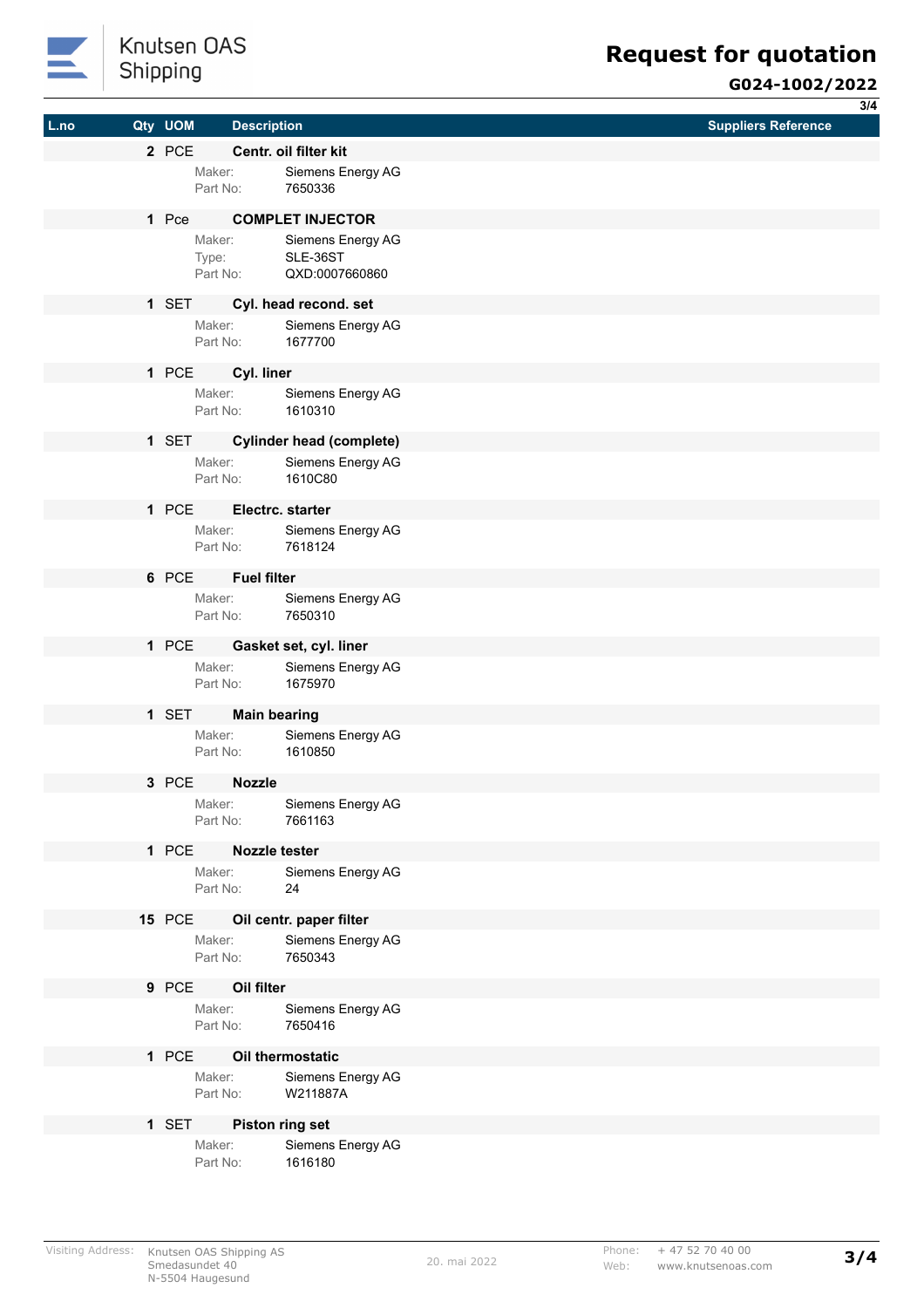

## Knutsen OAS Shipping

### **G024-1002/2022**

|      |               |                      |                                                      | 3/4                        |
|------|---------------|----------------------|------------------------------------------------------|----------------------------|
| L.no | Qty UOM       | <b>Description</b>   |                                                      | <b>Suppliers Reference</b> |
|      | 2 PCE         |                      | Centr. oil filter kit                                |                            |
|      |               | Maker:               | Siemens Energy AG                                    |                            |
|      |               | Part No:             | 7650336                                              |                            |
|      | 1 Pce         |                      | <b>COMPLET INJECTOR</b>                              |                            |
|      |               | Maker:               | Siemens Energy AG                                    |                            |
|      |               | Type:<br>Part No:    | SLE-36ST<br>QXD:0007660860                           |                            |
|      |               |                      |                                                      |                            |
|      | 1 SET         |                      | Cyl. head recond. set                                |                            |
|      |               | Maker:<br>Part No:   | Siemens Energy AG<br>1677700                         |                            |
|      |               |                      |                                                      |                            |
|      | 1 PCE         | Cyl. liner<br>Maker: |                                                      |                            |
|      |               | Part No:             | Siemens Energy AG<br>1610310                         |                            |
|      |               |                      |                                                      |                            |
|      | 1 SET         | Maker:               | <b>Cylinder head (complete)</b><br>Siemens Energy AG |                            |
|      |               | Part No:             | 1610C80                                              |                            |
|      | 1 PCE         |                      | Electrc. starter                                     |                            |
|      |               | Maker:               | Siemens Energy AG                                    |                            |
|      |               | Part No:             | 7618124                                              |                            |
|      | 6 PCE         | <b>Fuel filter</b>   |                                                      |                            |
|      |               |                      | Maker: Siemens Energy AG                             |                            |
|      |               | Part No:             | 7650310                                              |                            |
|      | 1 PCE         |                      | Gasket set, cyl. liner                               |                            |
|      |               | Maker:               | Siemens Energy AG                                    |                            |
|      |               | Part No:             | 1675970                                              |                            |
|      | 1 SET         |                      | <b>Main bearing</b>                                  |                            |
|      |               | Maker:               | Siemens Energy AG                                    |                            |
|      |               | Part No:             | 1610850                                              |                            |
|      | 3 PCE         | <b>Nozzle</b>        |                                                      |                            |
|      |               | Maker:               | Siemens Energy AG                                    |                            |
|      |               | Part No:             | 7661163                                              |                            |
|      | 1 PCE         |                      | <b>Nozzle tester</b>                                 |                            |
|      |               | Maker:               | Siemens Energy AG                                    |                            |
|      |               | Part No:             | 24                                                   |                            |
|      | <b>15 PCE</b> |                      | Oil centr. paper filter                              |                            |
|      |               | Maker:<br>Part No:   | Siemens Energy AG<br>7650343                         |                            |
|      |               |                      |                                                      |                            |
|      | 9 PCE         | Oil filter           |                                                      |                            |
|      |               | Maker:<br>Part No:   | Siemens Energy AG<br>7650416                         |                            |
|      |               |                      |                                                      |                            |
|      | 1 PCE         |                      | Oil thermostatic                                     |                            |
|      |               | Maker:<br>Part No:   | Siemens Energy AG<br>W211887A                        |                            |
|      |               |                      |                                                      |                            |
|      | 1 SET         |                      | Piston ring set                                      |                            |
|      |               | Maker:<br>Part No:   | Siemens Energy AG<br>1616180                         |                            |
|      |               |                      |                                                      |                            |
|      |               |                      |                                                      |                            |